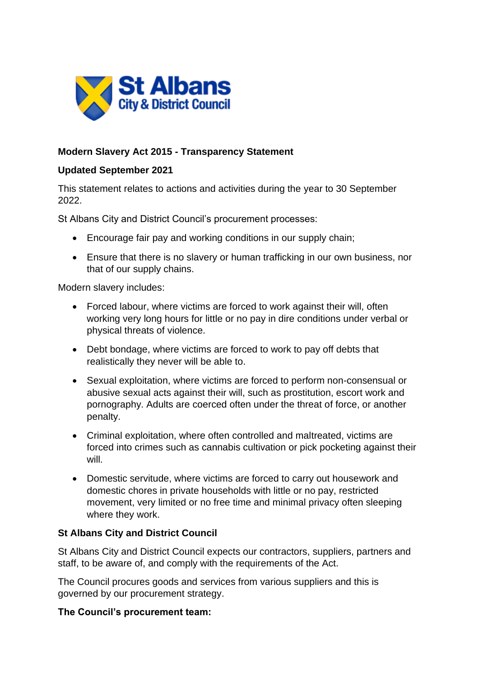

# **Modern Slavery Act 2015 - Transparency Statement**

#### **Updated September 2021**

This statement relates to actions and activities during the year to 30 September 2022.

St Albans City and District Council's procurement processes:

- Encourage fair pay and working conditions in our supply chain;
- Ensure that there is no slavery or human trafficking in our own business, nor that of our supply chains.

Modern slavery includes:

- Forced labour, where victims are forced to work against their will, often working very long hours for little or no pay in dire conditions under verbal or physical threats of violence.
- Debt bondage, where victims are forced to work to pay off debts that realistically they never will be able to.
- Sexual exploitation, where victims are forced to perform non-consensual or abusive sexual acts against their will, such as prostitution, escort work and pornography. Adults are coerced often under the threat of force, or another penalty.
- Criminal exploitation, where often controlled and maltreated, victims are forced into crimes such as cannabis cultivation or pick pocketing against their will.
- Domestic servitude, where victims are forced to carry out housework and domestic chores in private households with little or no pay, restricted movement, very limited or no free time and minimal privacy often sleeping where they work.

### **St Albans City and District Council**

St Albans City and District Council expects our contractors, suppliers, partners and staff, to be aware of, and comply with the requirements of the Act.

The Council procures goods and services from various suppliers and this is governed by our procurement strategy.

### **The Council's procurement team:**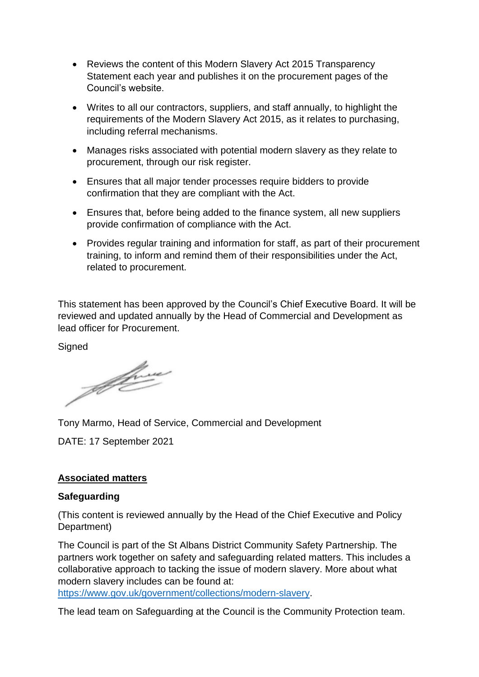- Reviews the content of this Modern Slavery Act 2015 Transparency Statement each year and publishes it on the procurement pages of the Council's website.
- Writes to all our contractors, suppliers, and staff annually, to highlight the requirements of the Modern Slavery Act 2015, as it relates to purchasing, including referral mechanisms.
- Manages risks associated with potential modern slavery as they relate to procurement, through our risk register.
- Ensures that all major tender processes require bidders to provide confirmation that they are compliant with the Act.
- Ensures that, before being added to the finance system, all new suppliers provide confirmation of compliance with the Act.
- Provides regular training and information for staff, as part of their procurement training, to inform and remind them of their responsibilities under the Act, related to procurement.

This statement has been approved by the Council's Chief Executive Board. It will be reviewed and updated annually by the Head of Commercial and Development as lead officer for Procurement.

**Signed** 

Jeffre

Tony Marmo, Head of Service, Commercial and Development

DATE: 17 September 2021

### **Associated matters**

#### **Safeguarding**

(This content is reviewed annually by the Head of the Chief Executive and Policy Department)

The Council is part of the St Albans District Community Safety Partnership. The partners work together on safety and safeguarding related matters. This includes a collaborative approach to tacking the issue of modern slavery. More about what modern slavery includes can be found at:

[https://www.gov.uk/government/collections/modern-slavery.](https://www.gov.uk/government/collections/modern-slavery)

The lead team on Safeguarding at the Council is the Community Protection team.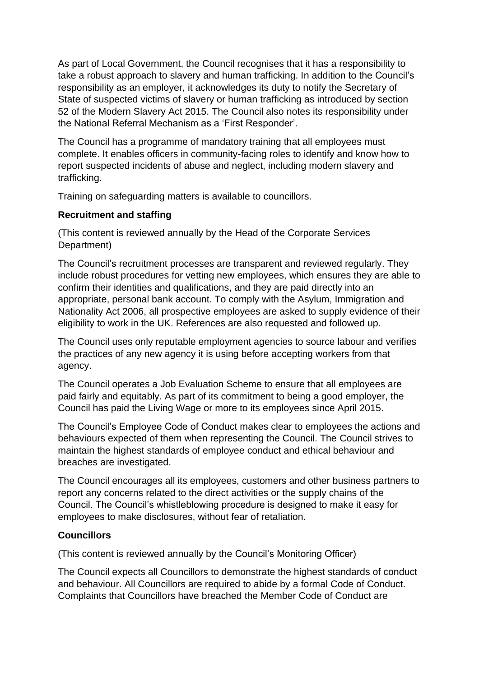As part of Local Government, the Council recognises that it has a responsibility to take a robust approach to slavery and human trafficking. In addition to the Council's responsibility as an employer, it acknowledges its duty to notify the Secretary of State of suspected victims of slavery or human trafficking as introduced by section 52 of the Modern Slavery Act 2015. The Council also notes its responsibility under the National Referral Mechanism as a 'First Responder'.

The Council has a programme of mandatory training that all employees must complete. It enables officers in community-facing roles to identify and know how to report suspected incidents of abuse and neglect, including modern slavery and trafficking.

Training on safeguarding matters is available to councillors.

## **Recruitment and staffing**

(This content is reviewed annually by the Head of the Corporate Services Department)

The Council's recruitment processes are transparent and reviewed regularly. They include robust procedures for vetting new employees, which ensures they are able to confirm their identities and qualifications, and they are paid directly into an appropriate, personal bank account. To comply with the Asylum, Immigration and Nationality Act 2006, all prospective employees are asked to supply evidence of their eligibility to work in the UK. References are also requested and followed up.

The Council uses only reputable employment agencies to source labour and verifies the practices of any new agency it is using before accepting workers from that agency.

The Council operates a Job Evaluation Scheme to ensure that all employees are paid fairly and equitably. As part of its commitment to being a good employer, the Council has paid the Living Wage or more to its employees since April 2015.

The Council's Employee Code of Conduct makes clear to employees the actions and behaviours expected of them when representing the Council. The Council strives to maintain the highest standards of employee conduct and ethical behaviour and breaches are investigated.

The Council encourages all its employees, customers and other business partners to report any concerns related to the direct activities or the supply chains of the Council. The Council's whistleblowing procedure is designed to make it easy for employees to make disclosures, without fear of retaliation.

### **Councillors**

(This content is reviewed annually by the Council's Monitoring Officer)

The Council expects all Councillors to demonstrate the highest standards of conduct and behaviour. All Councillors are required to abide by a formal Code of Conduct. Complaints that Councillors have breached the Member Code of Conduct are